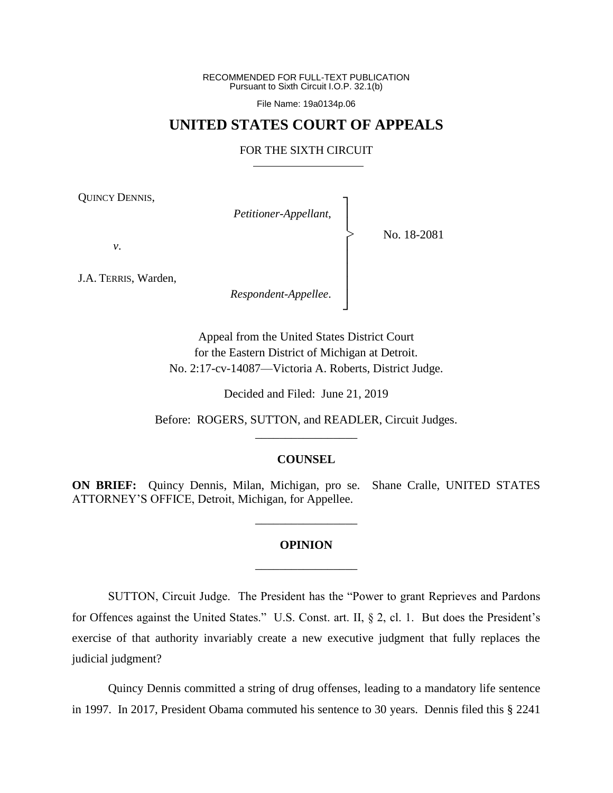RECOMMENDED FOR FULL-TEXT PUBLICATION Pursuant to Sixth Circuit I.O.P. 32.1(b)

File Name: 19a0134p.06

## **UNITED STATES COURT OF APPEALS**

### FOR THE SIXTH CIRCUIT

┐ │ │ │ │ │ │ │ ┘

|<br>|<br>|

QUINCY DENNIS,

*Petitioner-Appellant*,

No. 18-2081

*v*.

J.A. TERRIS, Warden,

*Respondent-Appellee*.

Appeal from the United States District Court for the Eastern District of Michigan at Detroit. No. 2:17-cv-14087—Victoria A. Roberts, District Judge.

Decided and Filed: June 21, 2019

Before: ROGERS, SUTTON, and READLER, Circuit Judges. \_\_\_\_\_\_\_\_\_\_\_\_\_\_\_\_\_

### **COUNSEL**

**ON BRIEF:** Quincy Dennis, Milan, Michigan, pro se. Shane Cralle, UNITED STATES ATTORNEY'S OFFICE, Detroit, Michigan, for Appellee.

\_\_\_\_\_\_\_\_\_\_\_\_\_\_\_\_\_

# **OPINION** \_\_\_\_\_\_\_\_\_\_\_\_\_\_\_\_\_

SUTTON, Circuit Judge. The President has the "Power to grant Reprieves and Pardons for Offences against the United States." U.S. Const. art. II, § 2, cl. 1. But does the President's exercise of that authority invariably create a new executive judgment that fully replaces the judicial judgment?

Quincy Dennis committed a string of drug offenses, leading to a mandatory life sentence in 1997. In 2017, President Obama commuted his sentence to 30 years. Dennis filed this § 2241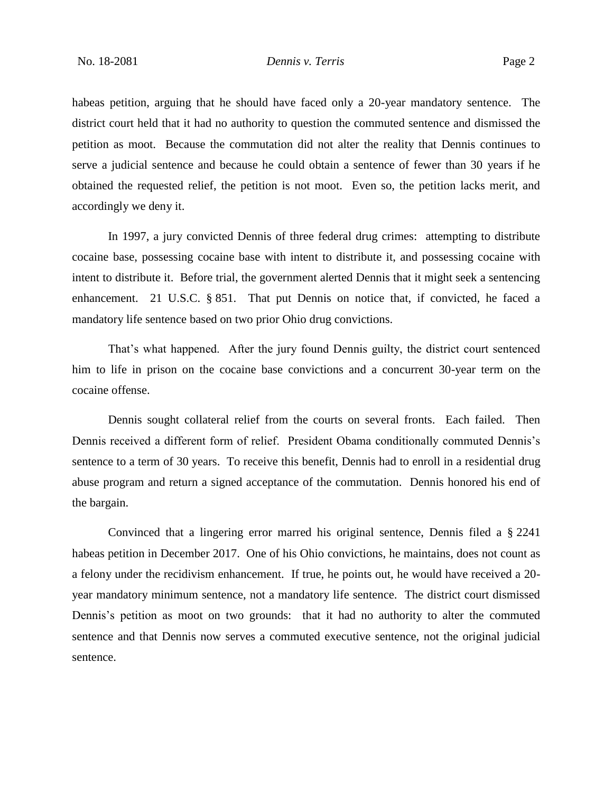habeas petition, arguing that he should have faced only a 20-year mandatory sentence. The district court held that it had no authority to question the commuted sentence and dismissed the petition as moot. Because the commutation did not alter the reality that Dennis continues to serve a judicial sentence and because he could obtain a sentence of fewer than 30 years if he obtained the requested relief, the petition is not moot. Even so, the petition lacks merit, and accordingly we deny it.

In 1997, a jury convicted Dennis of three federal drug crimes: attempting to distribute cocaine base, possessing cocaine base with intent to distribute it, and possessing cocaine with intent to distribute it. Before trial, the government alerted Dennis that it might seek a sentencing enhancement. 21 U.S.C. § 851. That put Dennis on notice that, if convicted, he faced a mandatory life sentence based on two prior Ohio drug convictions.

That's what happened. After the jury found Dennis guilty, the district court sentenced him to life in prison on the cocaine base convictions and a concurrent 30-year term on the cocaine offense.

Dennis sought collateral relief from the courts on several fronts. Each failed. Then Dennis received a different form of relief. President Obama conditionally commuted Dennis's sentence to a term of 30 years. To receive this benefit, Dennis had to enroll in a residential drug abuse program and return a signed acceptance of the commutation. Dennis honored his end of the bargain.

Convinced that a lingering error marred his original sentence, Dennis filed a § 2241 habeas petition in December 2017. One of his Ohio convictions, he maintains, does not count as a felony under the recidivism enhancement. If true, he points out, he would have received a 20 year mandatory minimum sentence, not a mandatory life sentence. The district court dismissed Dennis's petition as moot on two grounds: that it had no authority to alter the commuted sentence and that Dennis now serves a commuted executive sentence, not the original judicial sentence.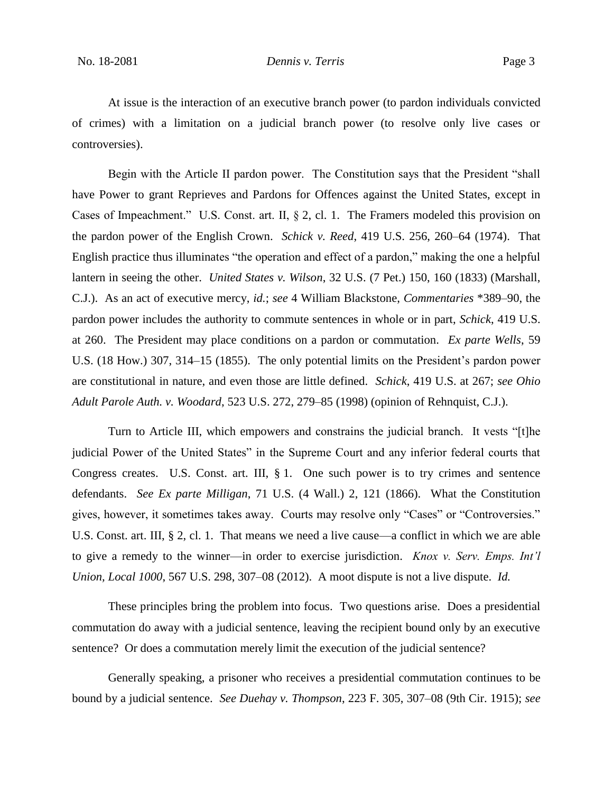At issue is the interaction of an executive branch power (to pardon individuals convicted of crimes) with a limitation on a judicial branch power (to resolve only live cases or controversies).

Begin with the Article II pardon power. The Constitution says that the President "shall have Power to grant Reprieves and Pardons for Offences against the United States, except in Cases of Impeachment." U.S. Const. art. II, § 2, cl. 1. The Framers modeled this provision on the pardon power of the English Crown. *Schick v. Reed*, 419 U.S. 256, 260–64 (1974). That English practice thus illuminates "the operation and effect of a pardon," making the one a helpful lantern in seeing the other. *United States v. Wilson*, 32 U.S. (7 Pet.) 150, 160 (1833) (Marshall, C.J.). As an act of executive mercy, *id.*; *see* 4 William Blackstone, *Commentaries* \*389–90, the pardon power includes the authority to commute sentences in whole or in part, *Schick*, 419 U.S. at 260. The President may place conditions on a pardon or commutation. *Ex parte Wells*, 59 U.S. (18 How.) 307, 314–15 (1855). The only potential limits on the President's pardon power are constitutional in nature, and even those are little defined. *Schick*, 419 U.S. at 267; *see Ohio Adult Parole Auth. v. Woodard*, 523 U.S. 272, 279–85 (1998) (opinion of Rehnquist, C.J.).

Turn to Article III, which empowers and constrains the judicial branch. It vests "[t]he judicial Power of the United States" in the Supreme Court and any inferior federal courts that Congress creates. U.S. Const. art. III, § 1. One such power is to try crimes and sentence defendants. *See Ex parte Milligan*, 71 U.S. (4 Wall.) 2, 121 (1866). What the Constitution gives, however, it sometimes takes away. Courts may resolve only "Cases" or "Controversies." U.S. Const. art. III, § 2, cl. 1. That means we need a live cause—a conflict in which we are able to give a remedy to the winner—in order to exercise jurisdiction. *Knox v. Serv. Emps. Int'l Union, Local 1000*, 567 U.S. 298, 307–08 (2012). A moot dispute is not a live dispute. *Id.*

These principles bring the problem into focus. Two questions arise. Does a presidential commutation do away with a judicial sentence, leaving the recipient bound only by an executive sentence? Or does a commutation merely limit the execution of the judicial sentence?

Generally speaking, a prisoner who receives a presidential commutation continues to be bound by a judicial sentence. *See Duehay v. Thompson*, 223 F. 305, 307–08 (9th Cir. 1915); *see*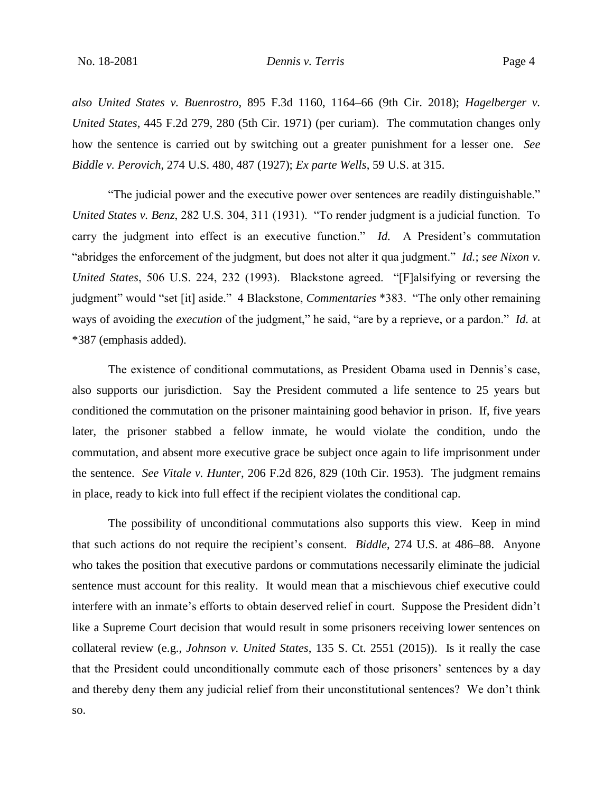*also United States v. Buenrostro*, 895 F.3d 1160, 1164–66 (9th Cir. 2018); *Hagelberger v. United States*, 445 F.2d 279, 280 (5th Cir. 1971) (per curiam). The commutation changes only how the sentence is carried out by switching out a greater punishment for a lesser one. *See Biddle v. Perovich*, 274 U.S. 480, 487 (1927); *Ex parte Wells*, 59 U.S. at 315.

"The judicial power and the executive power over sentences are readily distinguishable." *United States v. Benz*, 282 U.S. 304, 311 (1931). "To render judgment is a judicial function. To carry the judgment into effect is an executive function." *Id.* A President's commutation "abridges the enforcement of the judgment, but does not alter it qua judgment." *Id.*; *see Nixon v. United States*, 506 U.S. 224, 232 (1993). Blackstone agreed. "[F]alsifying or reversing the judgment" would "set [it] aside." 4 Blackstone, *Commentaries* \*383. "The only other remaining ways of avoiding the *execution* of the judgment," he said, "are by a reprieve, or a pardon." *Id.* at \*387 (emphasis added).

The existence of conditional commutations, as President Obama used in Dennis's case, also supports our jurisdiction. Say the President commuted a life sentence to 25 years but conditioned the commutation on the prisoner maintaining good behavior in prison. If, five years later, the prisoner stabbed a fellow inmate, he would violate the condition, undo the commutation, and absent more executive grace be subject once again to life imprisonment under the sentence. *See Vitale v. Hunter*, 206 F.2d 826, 829 (10th Cir. 1953). The judgment remains in place, ready to kick into full effect if the recipient violates the conditional cap.

The possibility of unconditional commutations also supports this view. Keep in mind that such actions do not require the recipient's consent. *Biddle*, 274 U.S. at 486–88. Anyone who takes the position that executive pardons or commutations necessarily eliminate the judicial sentence must account for this reality. It would mean that a mischievous chief executive could interfere with an inmate's efforts to obtain deserved relief in court. Suppose the President didn't like a Supreme Court decision that would result in some prisoners receiving lower sentences on collateral review (e.g., *Johnson v. United States*, 135 S. Ct. 2551 (2015)). Is it really the case that the President could unconditionally commute each of those prisoners' sentences by a day and thereby deny them any judicial relief from their unconstitutional sentences? We don't think so.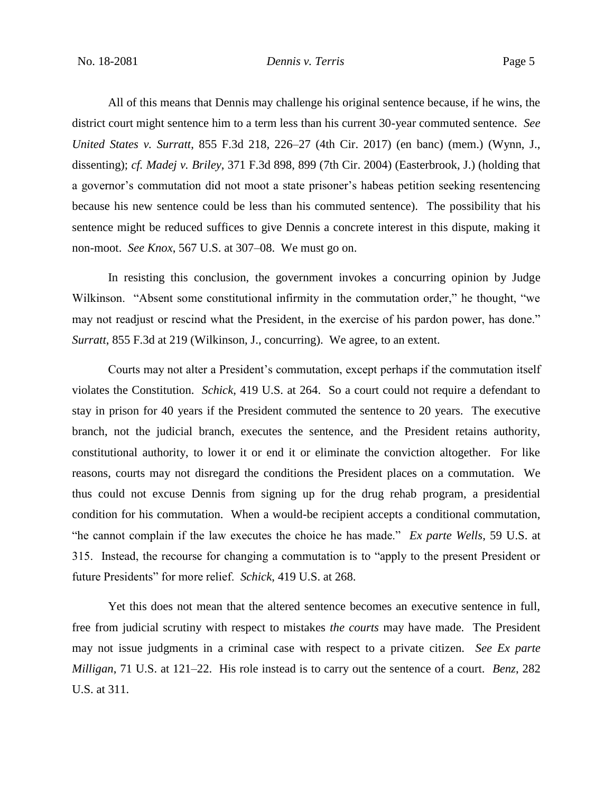#### No. 18-2081 *Dennis v. Terris* Page 5

All of this means that Dennis may challenge his original sentence because, if he wins, the district court might sentence him to a term less than his current 30-year commuted sentence. *See United States v. Surratt*, 855 F.3d 218, 226–27 (4th Cir. 2017) (en banc) (mem.) (Wynn, J., dissenting); *cf. Madej v. Briley*, 371 F.3d 898, 899 (7th Cir. 2004) (Easterbrook, J.) (holding that a governor's commutation did not moot a state prisoner's habeas petition seeking resentencing because his new sentence could be less than his commuted sentence). The possibility that his sentence might be reduced suffices to give Dennis a concrete interest in this dispute, making it non-moot. *See Knox*, 567 U.S. at 307–08. We must go on.

In resisting this conclusion, the government invokes a concurring opinion by Judge Wilkinson. "Absent some constitutional infirmity in the commutation order," he thought, "we may not readjust or rescind what the President, in the exercise of his pardon power, has done." *Surratt*, 855 F.3d at 219 (Wilkinson, J., concurring). We agree, to an extent.

Courts may not alter a President's commutation, except perhaps if the commutation itself violates the Constitution. *Schick*, 419 U.S. at 264. So a court could not require a defendant to stay in prison for 40 years if the President commuted the sentence to 20 years. The executive branch, not the judicial branch, executes the sentence, and the President retains authority, constitutional authority, to lower it or end it or eliminate the conviction altogether. For like reasons, courts may not disregard the conditions the President places on a commutation. We thus could not excuse Dennis from signing up for the drug rehab program, a presidential condition for his commutation. When a would-be recipient accepts a conditional commutation, "he cannot complain if the law executes the choice he has made." *Ex parte Wells*, 59 U.S. at 315. Instead, the recourse for changing a commutation is to "apply to the present President or future Presidents" for more relief. *Schick*, 419 U.S. at 268.

Yet this does not mean that the altered sentence becomes an executive sentence in full, free from judicial scrutiny with respect to mistakes *the courts* may have made. The President may not issue judgments in a criminal case with respect to a private citizen. *See Ex parte Milligan*, 71 U.S. at 121–22. His role instead is to carry out the sentence of a court. *Benz*, 282 U.S. at 311.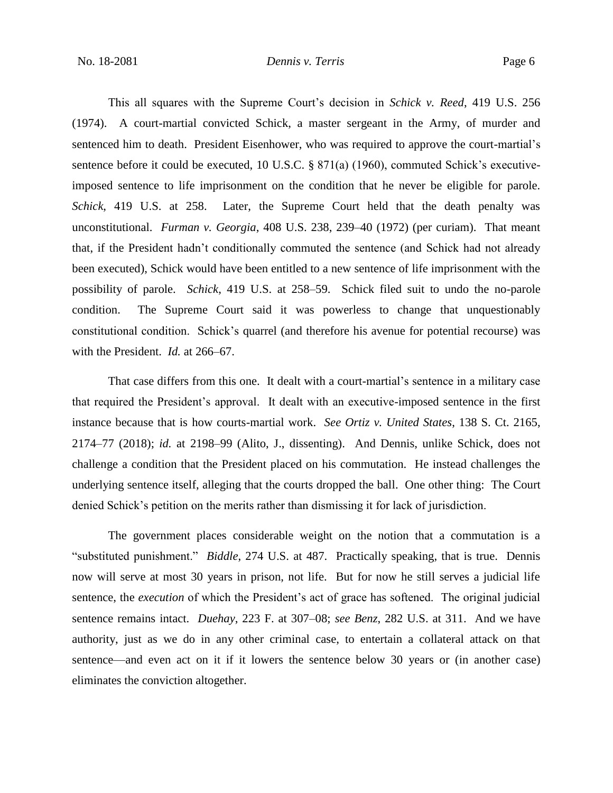### No. 18-2081 *Dennis v. Terris* Page 6

This all squares with the Supreme Court's decision in *Schick v. Reed*, 419 U.S. 256 (1974). A court-martial convicted Schick, a master sergeant in the Army, of murder and sentenced him to death. President Eisenhower, who was required to approve the court-martial's sentence before it could be executed, 10 U.S.C. § 871(a) (1960), commuted Schick's executiveimposed sentence to life imprisonment on the condition that he never be eligible for parole. *Schick*, 419 U.S. at 258. Later, the Supreme Court held that the death penalty was unconstitutional. *Furman v. Georgia*, 408 U.S. 238, 239–40 (1972) (per curiam). That meant that, if the President hadn't conditionally commuted the sentence (and Schick had not already been executed), Schick would have been entitled to a new sentence of life imprisonment with the possibility of parole. *Schick*, 419 U.S. at 258–59. Schick filed suit to undo the no-parole condition. The Supreme Court said it was powerless to change that unquestionably constitutional condition. Schick's quarrel (and therefore his avenue for potential recourse) was with the President. *Id.* at 266–67.

That case differs from this one. It dealt with a court-martial's sentence in a military case that required the President's approval. It dealt with an executive-imposed sentence in the first instance because that is how courts-martial work. *See Ortiz v. United States*, 138 S. Ct. 2165, 2174–77 (2018); *id.* at 2198–99 (Alito, J., dissenting). And Dennis, unlike Schick, does not challenge a condition that the President placed on his commutation. He instead challenges the underlying sentence itself, alleging that the courts dropped the ball. One other thing: The Court denied Schick's petition on the merits rather than dismissing it for lack of jurisdiction.

The government places considerable weight on the notion that a commutation is a "substituted punishment." *Biddle*, 274 U.S. at 487. Practically speaking, that is true. Dennis now will serve at most 30 years in prison, not life. But for now he still serves a judicial life sentence, the *execution* of which the President's act of grace has softened. The original judicial sentence remains intact. *Duehay*, 223 F. at 307–08; *see Benz*, 282 U.S. at 311. And we have authority, just as we do in any other criminal case, to entertain a collateral attack on that sentence—and even act on it if it lowers the sentence below 30 years or (in another case) eliminates the conviction altogether.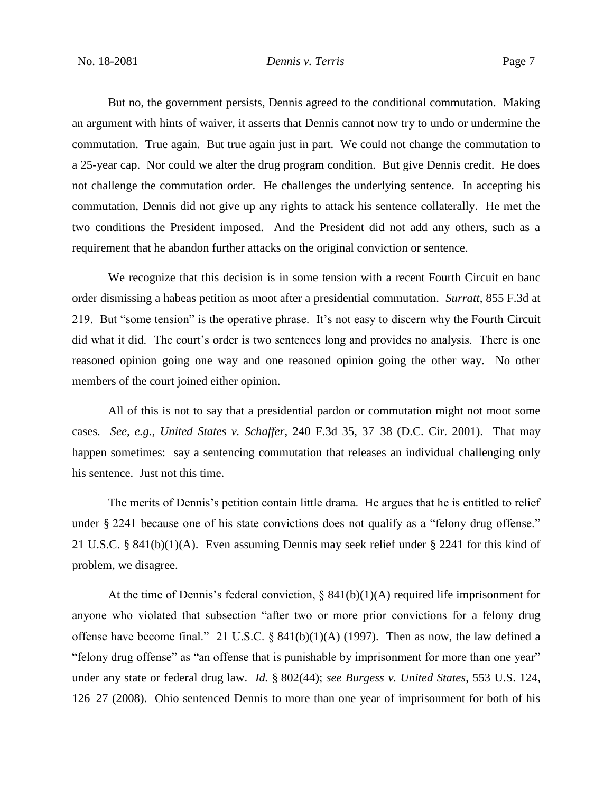### No. 18-2081 *Dennis v. Terris* Page 7

But no, the government persists, Dennis agreed to the conditional commutation. Making an argument with hints of waiver, it asserts that Dennis cannot now try to undo or undermine the commutation. True again. But true again just in part. We could not change the commutation to a 25-year cap. Nor could we alter the drug program condition. But give Dennis credit. He does not challenge the commutation order. He challenges the underlying sentence. In accepting his commutation, Dennis did not give up any rights to attack his sentence collaterally. He met the two conditions the President imposed. And the President did not add any others, such as a requirement that he abandon further attacks on the original conviction or sentence.

We recognize that this decision is in some tension with a recent Fourth Circuit en banc order dismissing a habeas petition as moot after a presidential commutation. *Surratt*, 855 F.3d at 219. But "some tension" is the operative phrase. It's not easy to discern why the Fourth Circuit did what it did. The court's order is two sentences long and provides no analysis. There is one reasoned opinion going one way and one reasoned opinion going the other way. No other members of the court joined either opinion.

All of this is not to say that a presidential pardon or commutation might not moot some cases. *See, e.g.*, *United States v. Schaffer*, 240 F.3d 35, 37–38 (D.C. Cir. 2001). That may happen sometimes: say a sentencing commutation that releases an individual challenging only his sentence. Just not this time.

The merits of Dennis's petition contain little drama. He argues that he is entitled to relief under § 2241 because one of his state convictions does not qualify as a "felony drug offense." 21 U.S.C. § 841(b)(1)(A). Even assuming Dennis may seek relief under § 2241 for this kind of problem, we disagree.

At the time of Dennis's federal conviction,  $\S$  841(b)(1)(A) required life imprisonment for anyone who violated that subsection "after two or more prior convictions for a felony drug offense have become final." 21 U.S.C.  $\S$  841(b)(1)(A) (1997). Then as now, the law defined a "felony drug offense" as "an offense that is punishable by imprisonment for more than one year" under any state or federal drug law. *Id.* § 802(44); *see Burgess v. United States*, 553 U.S. 124, 126–27 (2008). Ohio sentenced Dennis to more than one year of imprisonment for both of his